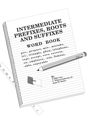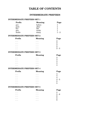# **TABLE OF CONTENTS**

## **INTERMEDIATE PREFIXES**

### **INTERMEDIATE PREFIXES SET 1**

| <b>Prefix</b> | <b>Meaning</b> | Page    |
|---------------|----------------|---------|
| pre-          | before         |         |
| post-         | after          |         |
| bio-          | life           |         |
| geo-          | earth          |         |
| multi-        | many           | $1 - 2$ |

#### **INTERMEDIATE PREFIXES SET 2**

| <b>Prefix</b> | <b>Meaning</b> | Page    |
|---------------|----------------|---------|
| $\cdots$      | $\cdots$       | 9       |
| $\cdots$      | $\cdots$       | 9.      |
| $\cdots$      | $\cdots$       | 2       |
| $\cdots$      | $\cdots$       | 2       |
|               |                | $2 - 3$ |

## **INTERMEDIATE PREFIXES SET 3**

| <b>Prefix</b> | <b>Meaning</b> | Page |
|---------------|----------------|------|
| $\cdots$      | $\cdots$       | 3    |
| $\cdots$      | $\cdots$       | 3    |
| $\cdots$      | $\cdots$       | 3    |
| $\cdots$      | $\cdots$       | 3    |
|               |                |      |

#### **INTERMEDIATE PREFIXES SET 4**

| <b>Prefix</b> | <b>Meaning</b> | Page    |
|---------------|----------------|---------|
| .             | $\cdots$       |         |
| .             | $\cdots$       |         |
| .             | $\cdots$       | 4       |
| $\cdots$      | $\cdots$       | $4 - 5$ |
| $\cdots$      | $\cdots$       | 5       |
|               | ٠              | 5       |

## **INTERMEDIATE PREFIXES SET 5**

| Prefix    | <b>Meaning</b> | Page    |
|-----------|----------------|---------|
| $\ddotsc$ | $\cdots$       | 5       |
| $\cdots$  | $\cdots$       | $5 - 6$ |
| $\cdots$  | $\cdots$       | 6       |
| $\ddotsc$ | $\cdots$       | 6       |
| . .       |                | 6       |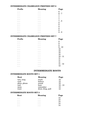## **INTERMEDIATE CHAMELEON PREFIXES SET 6**

| <b>Prefix</b>  | <b>Meaning</b>            | Page     |
|----------------|---------------------------|----------|
|                |                           | 6        |
|                | ٠                         | $6 - 7$  |
| ٠<br>$\bullet$ | ٠<br>$\bullet$            | 7        |
|                | $\bullet$                 | 7        |
|                | $\bullet$                 | 7        |
|                |                           | $7 - 8$  |
| ٠<br>$\bullet$ | ٠                         | 8        |
|                | ٠                         | 8        |
| ٠<br>$\bullet$ | $\bullet$<br>٠            | 8        |
|                |                           | 8        |
|                | ۰                         | 8        |
| $\cdots$       | ٠<br>$\cdot$<br>$\bullet$ | 8<br>- 9 |

## **INTERMEDIATE CHAMELEON PREFIXES SET 7**

| <b>Prefix</b>  | <b>Meaning</b> | Page            |
|----------------|----------------|-----------------|
| ٠<br>$\bullet$ |                | 9               |
| ٠              |                | 9               |
|                |                | 9               |
|                |                | $9 - 10$        |
|                |                | 10<br>10        |
| ٠              |                | 10              |
|                |                | 10              |
| ٠              |                | $10 - 11$       |
|                |                | 11              |
|                |                | 11              |
|                |                | 11              |
| $\bullet$      |                | $11 - 12$<br>12 |
| $\cdots$       | $\cdots$       |                 |

## **INTERMEDIATE ROOTS**

## **INTERMEDIATE ROOTS SET 1**

| <b>Root</b> | <b>Meaning</b>   | Page      |
|-------------|------------------|-----------|
| tact, tang  | touch            | 12        |
| cred        | believe          | 12        |
| phon, phone | sound            | 12        |
| aud         | hear             | $12 - 13$ |
| mem         | remember         | 13        |
| tract       | draw, drag, pull | 13        |

## **INTERMEDIATE ROOTS SET 2**

| Root     | <b>Meaning</b> | Page |
|----------|----------------|------|
| $\cdots$ | $\cdots$       | 13   |
| $\cdots$ | $\cdots$       | 13   |
| $\cdots$ | $\cdots$       | 14   |
| $\cdots$ | $\cdots$       | 14   |
| .        | $\cdots$       | 14   |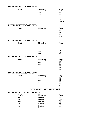## **INTERMEDIATE ROOTS SET 3**

| Root     | <b>Meaning</b> | Page      |
|----------|----------------|-----------|
| $\cdots$ | $\cdots$       | 14        |
| $\cdots$ | $\cdots$       | 14        |
| $\cdots$ | $\cdots$       | 15        |
| $\cdots$ | $\cdots$       | 15        |
| $\cdots$ | $\cdots$       | 15        |
| $\cdots$ | $\cdots$       | $15 - 16$ |

## **INTERMEDIATE ROOTS SET 4**

| Root     | <b>Meaning</b> | Page      |
|----------|----------------|-----------|
| $\cdots$ | $\cdots$       | 16        |
| $\cdots$ | $\cdots$       | 16        |
| $\cdots$ | $\cdots$       | 16        |
| $\cdots$ | $\cdots$       | $16 - 17$ |

#### **INTERMEDIATE ROOTS SET 5**

| Root     | <b>Meaning</b> | Page |
|----------|----------------|------|
| $\cdots$ | $\cdots$       | 17   |
| $\cdots$ | $\cdots$       | 17   |
| $\cdots$ | $\cdots$       | 17   |
| $\cdots$ | $\cdots$       | 17   |
| $\cdots$ | $\cdots$       | 18   |

#### **INTERMEDIATE ROOTS SET 6**

| <b>Root</b> | <b>Meaning</b> | Page |
|-------------|----------------|------|
| $\cdots$    | $\cdots$       | 18   |
| $\cdots$    | $\cdots$       | 18   |
| $\cdots$    | $\cdots$       | 18   |
| $\cdots$    | $\cdots$       | 18   |
| $\cdots$    | $\cdots$       | 19   |

#### **INTERMEDIATE ROOTS SET 7**

| Root     | <b>Meaning</b> | Page      |
|----------|----------------|-----------|
| $\cdots$ | $\cdots$       | 19        |
| $\cdots$ | $\cdots$       | 19        |
| $\cdots$ | $\cdots$       | $19 - 20$ |
| $\cdots$ | $\cdots$       | 20        |
| $\cdots$ | $\cdots$       | -20-      |

# **INTERMEDIATE SUFFIXES**

## **INTERMEDIATE SUFFIXES SET 1**

| <b>Suffix</b> | <b>Meaning</b> | Page      |
|---------------|----------------|-----------|
| -ee           | person         | 20        |
| $-ist$        | person         | $20 - 21$ |
| -eer          | person         | 21        |
| $-0r$         | person         | 21        |
| -cian         | person         | 21        |
| -er           | person         | $21 - 22$ |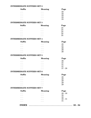## **INTERMEDIATE SUFFIXES SET 2**

| <b>Suffix</b> | <b>Meaning</b> | Page |
|---------------|----------------|------|
| $\cdots$      | $\cdots$       | 22   |
| $\cdots$      | $\cdots$       | 22   |
| $\cdots$      | $\cdots$       | 22   |
| $\cdots$      | $\cdots$       | 23   |
| $\cdots$      | $\cdots$       | 23   |

## **INTERMEDIATE SUFFIXES SET 3**

| <b>Suffix</b> | <b>Meaning</b> | Page |
|---------------|----------------|------|
| $\cdots$      | $\cdots$       | 23   |
| $\cdots$      | $\cdots$       | 24   |
| $\cdots$      | $\cdots$       | 24   |
| $\cdots$      | $\cdots$       | 24   |
| ٠             | $\cdots$       | 25   |

#### **INTERMEDIATE SUFFIXES SET 4**

| <b>Suffix</b> | <b>Meaning</b> | Page |
|---------------|----------------|------|
| $\cdots$      | $\cdots$       | 25   |
| $\cdots$      | $\cdots$       | 25   |
| $\cdots$      | $\cdots$       | 26   |
| $\cdots$      | $\cdots$       | 26   |
| $\cdots$      | $\cdots$       | 26   |

## **INTERMEDIATE SUFFIXES SET 5**

| <b>Suffix</b> | <b>Meaning</b> | Page      |
|---------------|----------------|-----------|
| $\cdots$      | $\cdots$       | 26        |
| $\cdots$      | $\cdots$       | 27        |
| $\cdots$      | $\cdots$       | 27        |
| $\cdots$      | $\cdots$       | 27        |
| $\cdots$      | $\cdots$       | $27 - 28$ |

## **INTERMEDIATE SUFFIXES SET 6**

| <b>Suffix</b> | <b>Meaning</b> | Page |
|---------------|----------------|------|
| $\cdots$      | $\cdots$       | 28   |
| $\cdots$      | $\cdots$       | 28   |
| $\cdots$      | $\cdots$       | 29   |
| $\cdots$      | $\cdots$       | 29   |
| $\cdots$      | $\cdots$       | 29   |

#### **INTERMEDIATE SUFFIXES SET 7**

| <b>Suffix</b> | <b>Meaning</b> | Page      |  |
|---------------|----------------|-----------|--|
| $\cdots$      | $\cdots$       | $29 - 30$ |  |
| $\cdots$      | $\cdots$       | 30        |  |
| $\cdots$      | $\cdots$       | 30        |  |
| $\ddotsc$     | $\cdots$       | $30 - 31$ |  |
| $\ddots$ .    | $\cdots$       | 31        |  |
| <b>INDEX</b>  |                | $33 - 34$ |  |